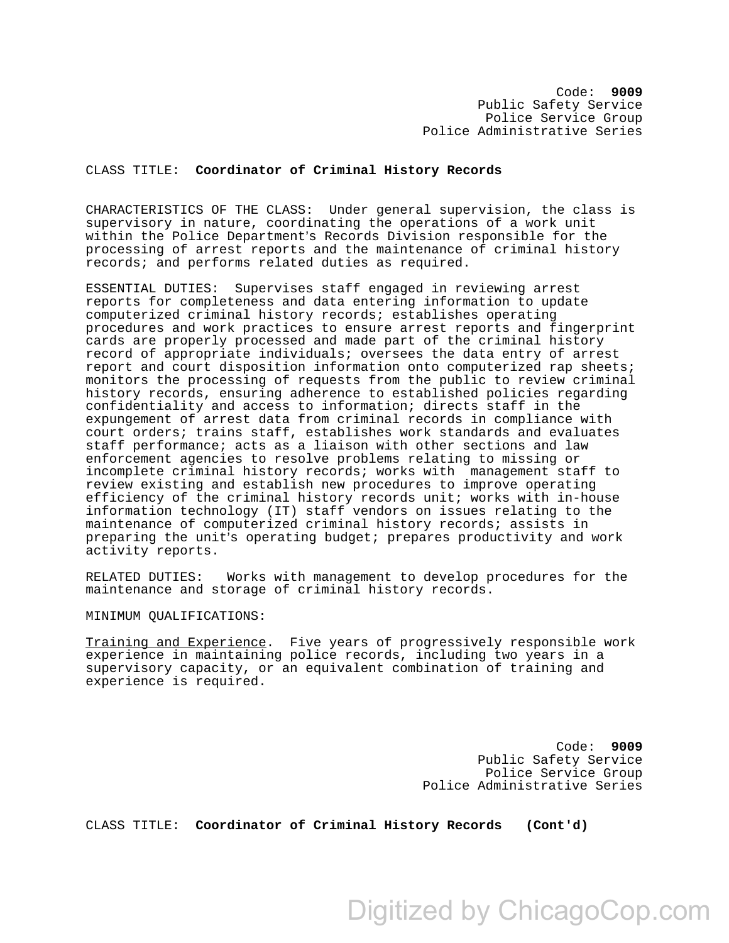Code: **9009**  Public Safety Service Police Service Group Police Administrative Series

## CLASS TITLE: **Coordinator of Criminal History Records**

CHARACTERISTICS OF THE CLASS: Under general supervision, the class is supervisory in nature, coordinating the operations of a work unit within the Police Department's Records Division responsible for the processing of arrest reports and the maintenance of criminal history records; and performs related duties as required.

ESSENTIAL DUTIES: Supervises staff engaged in reviewing arrest reports for completeness and data entering information to update computerized criminal history records; establishes operating procedures and work practices to ensure arrest reports and fingerprint cards are properly processed and made part of the criminal history record of appropriate individuals; oversees the data entry of arrest report and court disposition information onto computerized rap sheets; monitors the processing of requests from the public to review criminal history records, ensuring adherence to established policies regarding confidentiality and access to information; directs staff in the expungement of arrest data from criminal records in compliance with court orders; trains staff, establishes work standards and evaluates staff performance; acts as a liaison with other sections and law enforcement agencies to resolve problems relating to missing or incomplete criminal history records; works with management staff to review existing and establish new procedures to improve operating efficiency of the criminal history records unit; works with in-house information technology (IT) staff vendors on issues relating to the maintenance of computerized criminal history records; assists in preparing the unit's operating budget; prepares productivity and work activity reports.

RELATED DUTIES: Works with management to develop procedures for the maintenance and storage of criminal history records.

MINIMUM QUALIFICATIONS:

Training and Experience. Five years of progressively responsible work experience in maintaining police records, including two years in a supervisory capacity, or an equivalent combination of training and experience is required.

> Code: **9009** Public Safety Service Police Service Group Police Administrative Series

CLASS TITLE: **Coordinator of Criminal History Records (Cont'd)**

Digitized by ChicagoCop.com